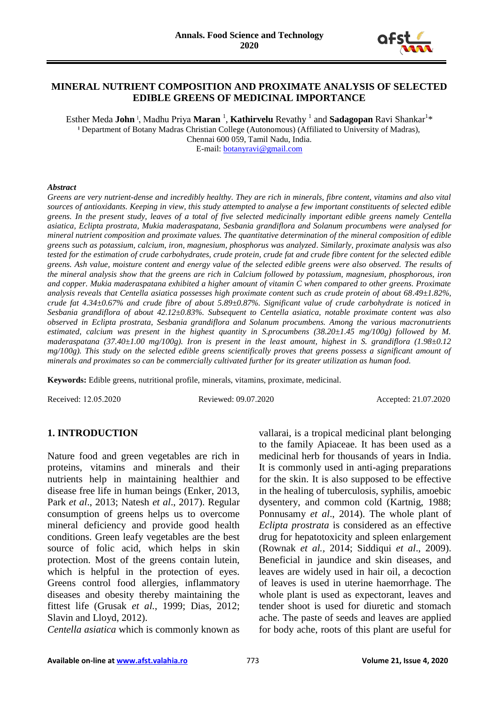

#### **MINERAL NUTRIENT COMPOSITION AND PROXIMATE ANALYSIS OF SELECTED EDIBLE GREENS OF MEDICINAL IMPORTANCE**

Esther Meda **John** ˡ, Madhu Priya **Maran** <sup>1</sup> , **Kathirvelu** Revathy <sup>1</sup> and **Sadagopan** Ravi Shankar<sup>1</sup> \* **ˡ** Department of Botany Madras Christian College (Autonomous) (Affiliated to University of Madras), Chennai 600 059, Tamil Nadu, India.

E-mail: [botanyravi@gmail.com](mailto:botanyravi@gmail.com)

#### *Abstract*

*Greens are very nutrient-dense and incredibly healthy. They are rich in minerals, fibre content, vitamins and also vital sources of antioxidants. Keeping in view, this study attempted to analyse a few important constituents of selected edible greens. In the present study, leaves of a total of five selected medicinally important edible greens namely Centella asiatica, Eclipta prostrata, Mukia maderaspatana, Sesbania grandiflora and Solanum procumbens were analysed for mineral nutrient composition and proximate values. The quantitative determination of the mineral composition of edible greens such as potassium, calcium, iron, magnesium, phosphorus was analyzed. Similarly, proximate analysis was also tested for the estimation of crude carbohydrates, crude protein, crude fat and crude fibre content for the selected edible greens. Ash value, moisture content and energy value of the selected edible greens were also observed. The results of the mineral analysis show that the greens are rich in Calcium followed by potassium, magnesium, phosphorous, iron and copper. Mukia maderaspatana exhibited a higher amount of vitamin C when compared to other greens. Proximate analysis reveals that Centella asiatica possesses high proximate content such as crude protein of about 68.49±1.82%, crude fat 4.34±0.67% and crude fibre of about 5.89±0.87%. Significant value of crude carbohydrate is noticed in Sesbania grandiflora of about 42.12±0.83%. Subsequent to Centella asiatica, notable proximate content was also observed in Eclipta prostrata, Sesbania grandiflora and Solanum procumbens. Among the various macronutrients estimated, calcium was present in the highest quantity in S.procumbens (38.20±1.45 mg/100g) followed by M. maderaspatana (37.40±1.00 mg/100g). Iron is present in the least amount, highest in S. grandiflora (1.98±0.12 mg/100g). This study on the selected edible greens scientifically proves that greens possess a significant amount of minerals and proximates so can be commercially cultivated further for its greater utilization as human food.*

**Keywords:** Edible greens, nutritional profile, minerals, vitamins, proximate, medicinal.

Received: 12.05.2020 Reviewed: 09.07.2020 Accepted: 21.07.2020

#### **1. INTRODUCTION**

Nature food and green vegetables are rich in proteins, vitamins and minerals and their nutrients help in maintaining healthier and disease free life in human beings (Enker, 2013, Park *et al*., 2013; Natesh *et al*., 2017). Regular consumption of greens helps us to overcome mineral deficiency and provide good health conditions. Green leafy vegetables are the best source of folic acid, which helps in skin protection. Most of the greens contain lutein, which is helpful in the protection of eyes. Greens control food allergies, inflammatory diseases and obesity thereby maintaining the fittest life (Grusak *et al.*, 1999; Dias, 2012; Slavin and Lloyd, 2012).

*Centella asiatica* which is commonly known as

vallarai, is a tropical medicinal plant belonging to the family Apiaceae. It has been used as a medicinal herb for thousands of years in India. It is commonly used in anti-aging preparations for the skin. It is also supposed to be effective in the healing of tuberculosis, syphilis, amoebic dysentery, and common cold (Kartnig, 1988; Ponnusamy *et al*., 2014). The whole plant of *Eclipta prostrata* is considered as an effective drug for hepatotoxicity and spleen enlargement (Rownak *et al.,* 2014; Siddiqui *et al*., 2009). Beneficial in jaundice and skin diseases, and leaves are widely used in hair oil, a decoction of leaves is used in uterine haemorrhage. The whole plant is used as expectorant, leaves and tender shoot is used for diuretic and stomach ache. The paste of seeds and leaves are applied for body ache, roots of this plant are useful for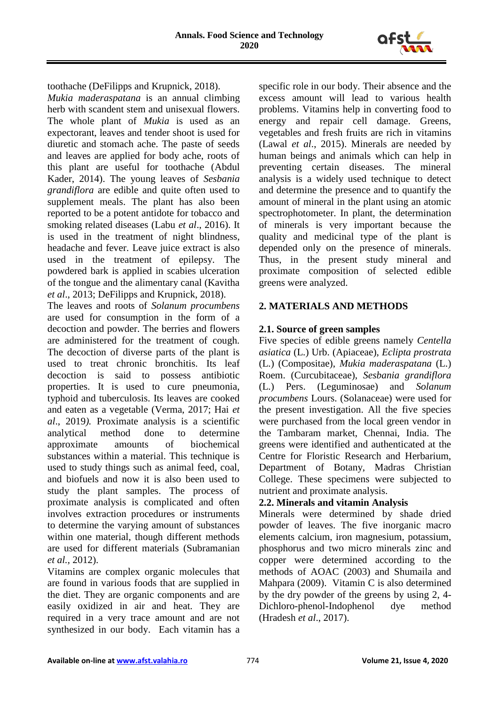

toothache (DeFilipps and Krupnick, 2018). *Mukia maderaspatana* is an annual climbing herb with scandent stem and unisexual flowers. The whole plant of *Mukia* is used as an expectorant, leaves and tender shoot is used for diuretic and stomach ache. The paste of seeds and leaves are applied for body ache, roots of this plant are useful for toothache (Abdul Kader, 2014). The young leaves of *Sesbania grandiflora* are edible and quite often used to supplement meals. The plant has also been reported to be a potent antidote for tobacco and smoking related diseases (Labu *et al*., 2016). It is used in the treatment of night blindness, headache and fever. Leave juice extract is also used in the treatment of epilepsy. The powdered bark is applied in scabies ulceration of the tongue and the alimentary canal (Kavitha *et al*., 2013; DeFilipps and Krupnick, 2018).

The leaves and roots of *Solanum procumbens* are used for consumption in the form of a decoction and powder. The berries and flowers are administered for the treatment of cough. The decoction of diverse parts of the plant is used to treat chronic bronchitis. Its leaf decoction is said to possess antibiotic properties. It is used to cure pneumonia, typhoid and tuberculosis. Its leaves are cooked and eaten as a vegetable (Verma, 2017; Hai *et al*., 2019*).* Proximate analysis is a scientific analytical method done to determine approximate amounts of biochemical substances within a material. This technique is used to study things such as animal feed, coal, and biofuels and now it is also been used to study the plant samples. The process of proximate analysis is complicated and often involves extraction procedures or instruments to determine the varying amount of substances within one material, though different methods are used for different materials (Subramanian *et al.,* 2012).

Vitamins are complex organic molecules that are found in various foods that are supplied in the diet. They are organic components and are easily oxidized in air and heat. They are required in a very trace amount and are not synthesized in our body. Each vitamin has a

specific role in our body. Their absence and the excess amount will lead to various health problems. Vitamins help in converting food to energy and repair cell damage. Greens, vegetables and fresh fruits are rich in vitamins (Lawal *et al*., 2015). Minerals are needed by human beings and animals which can help in preventing certain diseases. The mineral analysis is a widely used technique to detect and determine the presence and to quantify the amount of mineral in the plant using an atomic spectrophotometer. In plant, the determination of minerals is very important because the quality and medicinal type of the plant is depended only on the presence of minerals. Thus, in the present study mineral and proximate composition of selected edible greens were analyzed.

### **2. MATERIALS AND METHODS**

### **2.1. Source of green samples**

Five species of edible greens namely *Centella asiatica* (L.) Urb. (Apiaceae), *Eclipta prostrata* (L.) (Compositae), *Mukia maderaspatana* (L.) Roem. (Curcubitaceae), *Sesbania grandiflora* (L.) Pers. (Leguminosae) and *Solanum procumbens* Lours. (Solanaceae) were used for the present investigation. All the five species were purchased from the local green vendor in the Tambaram market, Chennai, India. The greens were identified and authenticated at the Centre for Floristic Research and Herbarium, Department of Botany, Madras Christian College. These specimens were subjected to nutrient and proximate analysis.

### **2.2. Minerals and vitamin Analysis**

Minerals were determined by shade dried powder of leaves. The five inorganic macro elements calcium, iron magnesium, potassium, phosphorus and two micro minerals zinc and copper were determined according to the methods of AOAC (2003) and Shumaila and Mahpara (2009). Vitamin C is also determined by the dry powder of the greens by using 2, 4- Dichloro-phenol-Indophenol dye method (Hradesh *et al*., 2017).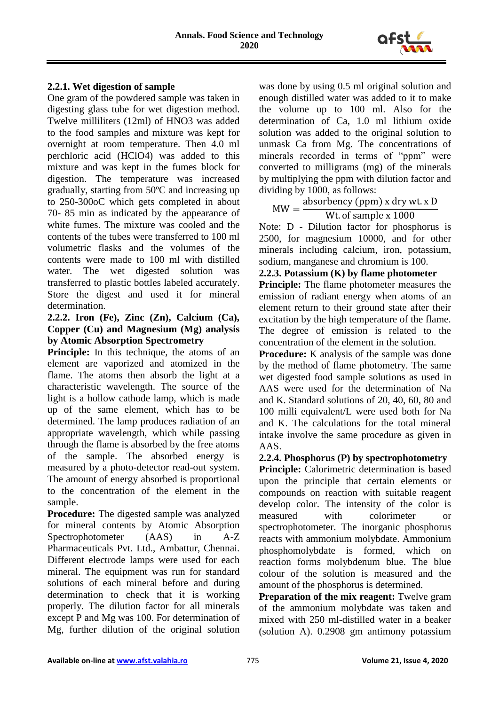

#### **2.2.1. Wet digestion of sample**

One gram of the powdered sample was taken in digesting glass tube for wet digestion method. Twelve milliliters (12ml) of HNO3 was added to the food samples and mixture was kept for overnight at room temperature. Then 4.0 ml perchloric acid (HClO4) was added to this mixture and was kept in the fumes block for digestion. The temperature was increased gradually, starting from 50ºC and increasing up to 250-300oC which gets completed in about 70- 85 min as indicated by the appearance of white fumes. The mixture was cooled and the contents of the tubes were transferred to 100 ml volumetric flasks and the volumes of the contents were made to 100 ml with distilled water. The wet digested solution was transferred to plastic bottles labeled accurately. Store the digest and used it for mineral determination.

### **2.2.2. Iron (Fe), Zinc (Zn), Calcium (Ca), Copper (Cu) and Magnesium (Mg) analysis by Atomic Absorption Spectrometry**

**Principle:** In this technique, the atoms of an element are vaporized and atomized in the flame. The atoms then absorb the light at a characteristic wavelength. The source of the light is a hollow cathode lamp, which is made up of the same element, which has to be determined. The lamp produces radiation of an appropriate wavelength, which while passing through the flame is absorbed by the free atoms of the sample. The absorbed energy is measured by a photo-detector read-out system. The amount of energy absorbed is proportional to the concentration of the element in the sample.

**Procedure:** The digested sample was analyzed for mineral contents by Atomic Absorption Spectrophotometer (AAS) in A-Z Pharmaceuticals Pvt. Ltd., Ambattur, Chennai. Different electrode lamps were used for each mineral. The equipment was run for standard solutions of each mineral before and during determination to check that it is working properly. The dilution factor for all minerals except P and Mg was 100. For determination of Mg, further dilution of the original solution

was done by using 0.5 ml original solution and enough distilled water was added to it to make the volume up to 100 ml. Also for the determination of Ca, 1.0 ml lithium oxide solution was added to the original solution to unmask Ca from Mg. The concentrations of minerals recorded in terms of "ppm" were converted to milligrams (mg) of the minerals by multiplying the ppm with dilution factor and dividing by 1000, as follows:

 $MW =$ absorbency (ppm) x dry wt. x D Wt. of sample x 1000

Note: D - Dilution factor for phosphorus is 2500, for magnesium 10000, and for other minerals including calcium, iron, potassium, sodium, manganese and chromium is 100.

**2.2.3. Potassium (K) by flame photometer**

**Principle:** The flame photometer measures the emission of radiant energy when atoms of an element return to their ground state after their excitation by the high temperature of the flame. The degree of emission is related to the concentration of the element in the solution.

**Procedure:** K analysis of the sample was done by the method of flame photometry. The same wet digested food sample solutions as used in AAS were used for the determination of Na and K. Standard solutions of 20, 40, 60, 80 and 100 milli equivalent/L were used both for Na and K. The calculations for the total mineral intake involve the same procedure as given in AAS.

### **2.2.4. Phosphorus (P) by spectrophotometry**

**Principle:** Calorimetric determination is based upon the principle that certain elements or compounds on reaction with suitable reagent develop color. The intensity of the color is measured with colorimeter or spectrophotometer. The inorganic phosphorus reacts with ammonium molybdate. Ammonium phosphomolybdate is formed, which on reaction forms molybdenum blue. The blue colour of the solution is measured and the amount of the phosphorus is determined.

**Preparation of the mix reagent:** Twelve gram of the ammonium molybdate was taken and mixed with 250 ml-distilled water in a beaker (solution A). 0.2908 gm antimony potassium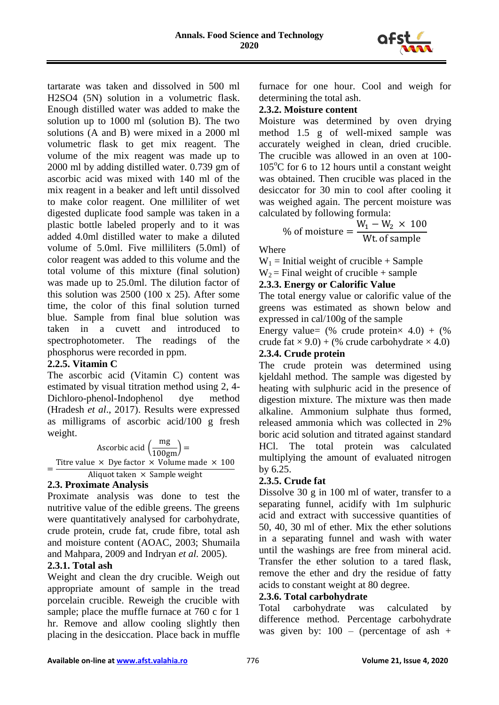

tartarate was taken and dissolved in 500 ml H2SO4 (5N) solution in a volumetric flask. Enough distilled water was added to make the solution up to 1000 ml (solution B). The two solutions (A and B) were mixed in a 2000 ml volumetric flask to get mix reagent. The volume of the mix reagent was made up to 2000 ml by adding distilled water. 0.739 gm of ascorbic acid was mixed with 140 ml of the mix reagent in a beaker and left until dissolved to make color reagent. One milliliter of wet digested duplicate food sample was taken in a plastic bottle labeled properly and to it was added 4.0ml distilled water to make a diluted volume of 5.0ml. Five milliliters (5.0ml) of color reagent was added to this volume and the total volume of this mixture (final solution) was made up to 25.0ml. The dilution factor of this solution was 2500 (100 x 25). After some time, the color of this final solution turned blue. Sample from final blue solution was taken in a cuvett and introduced to spectrophotometer. The readings of the phosphorus were recorded in ppm.

### **2.2.5. Vitamin C**

The ascorbic acid (Vitamin C) content was estimated by visual titration method using 2, 4- Dichloro-phenol-Indophenol dye method (Hradesh *et al*., 2017). Results were expressed as milligrams of ascorbic acid/100 g fresh weight.

\n Ascorbic acid 
$$
\left(\frac{mg}{100gm}\right) =
$$
\n

\n\n The value  $\times$  Dye factor  $\times$  Volume made  $\times$  100\n

\n\n Aliquot taken  $\times$  Sample weight\n

#### **2.3. Proximate Analysis**

Proximate analysis was done to test the nutritive value of the edible greens. The greens were quantitatively analysed for carbohydrate, crude protein, crude fat, crude fibre, total ash and moisture content (AOAC, 2003; Shumaila and Mahpara, 2009 and Indryan *et al.* 2005).

### **2.3.1. Total ash**

Weight and clean the dry crucible. Weigh out appropriate amount of sample in the tread porcelain crucible. Reweigh the crucible with sample; place the muffle furnace at 760 c for 1 hr. Remove and allow cooling slightly then placing in the desiccation. Place back in muffle furnace for one hour. Cool and weigh for determining the total ash.

#### **2.3.2. Moisture content**

Moisture was determined by oven drying method 1.5 g of well-mixed sample was accurately weighed in clean, dried crucible. The crucible was allowed in an oven at 100-  $105^{\circ}$ C for 6 to 12 hours until a constant weight was obtained. Then crucible was placed in the desiccator for 30 min to cool after cooling it was weighed again. The percent moisture was calculated by following formula:

% of moisture = 
$$
\frac{W_1 - W_2 \times 100}{Wt \text{ of sample}}
$$

Where

 $W_1$  = Initial weight of crucible + Sample

 $W_2$  = Final weight of crucible + sample

### **2.3.3. Energy or Calorific Value**

The total energy value or calorific value of the greens was estimated as shown below and expressed in cal/100g of the sample

Energy value=  $(\%$  crude protein $\times$  4.0) +  $(\%$ crude fat  $\times$  9.0) + (% crude carbohydrate  $\times$  4.0)

# **2.3.4. Crude protein**

The crude protein was determined using kjeldahl method. The sample was digested by heating with sulphuric acid in the presence of digestion mixture. The mixture was then made alkaline. Ammonium sulphate thus formed, released ammonia which was collected in 2% boric acid solution and titrated against standard HCl. The total protein was calculated multiplying the amount of evaluated nitrogen by 6.25.

#### **2.3.5. Crude fat**

Dissolve 30 g in 100 ml of water, transfer to a separating funnel, acidify with 1m sulphuric acid and extract with successive quantities of 50, 40, 30 ml of ether. Mix the ether solutions in a separating funnel and wash with water until the washings are free from mineral acid. Transfer the ether solution to a tared flask, remove the ether and dry the residue of fatty acids to constant weight at 80 degree.

#### **2.3.6. Total carbohydrate**

Total carbohydrate was calculated by difference method. Percentage carbohydrate was given by:  $100 -$  (percentage of ash +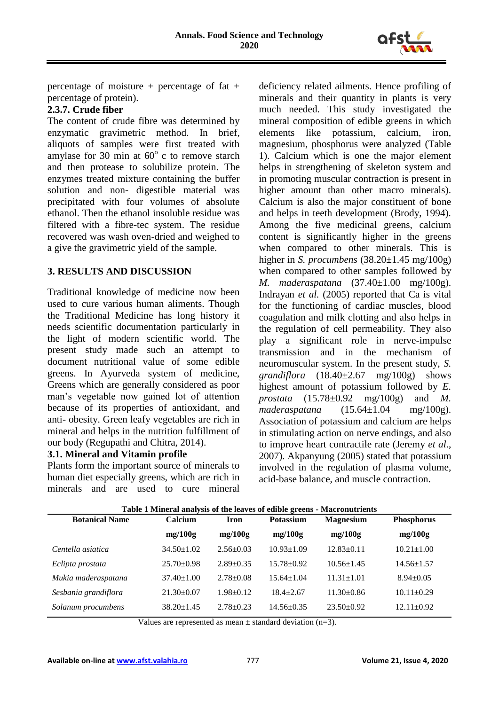

percentage of moisture + percentage of fat + percentage of protein).

### **2.3.7. Crude fiber**

The content of crude fibre was determined by enzymatic gravimetric method. In brief, aliquots of samples were first treated with amylase for 30 min at  $60^{\circ}$  c to remove starch and then protease to solubilize protein. The enzymes treated mixture containing the buffer solution and non- digestible material was precipitated with four volumes of absolute ethanol. Then the ethanol insoluble residue was filtered with a fibre-tec system. The residue recovered was wash oven-dried and weighed to a give the gravimetric yield of the sample.

### **3. RESULTS AND DISCUSSION**

Traditional knowledge of medicine now been used to cure various human aliments. Though the Traditional Medicine has long history it needs scientific documentation particularly in the light of modern scientific world. The present study made such an attempt to document nutritional value of some edible greens. In Ayurveda system of medicine, Greens which are generally considered as poor man's vegetable now gained lot of attention because of its properties of antioxidant, and anti- obesity. Green leafy vegetables are rich in mineral and helps in the nutrition fulfillment of our body (Regupathi and Chitra, 2014).

## **3.1. Mineral and Vitamin profile**

Plants form the important source of minerals to human diet especially greens, which are rich in minerals and are used to cure mineral

deficiency related ailments. Hence profiling of minerals and their quantity in plants is very much needed. This study investigated the mineral composition of edible greens in which elements like potassium, calcium, iron, magnesium, phosphorus were analyzed (Table 1). Calcium which is one the major element helps in strengthening of skeleton system and in promoting muscular contraction is present in higher amount than other macro minerals). Calcium is also the major constituent of bone and helps in teeth development (Brody, 1994). Among the five medicinal greens, calcium content is significantly higher in the greens when compared to other minerals. This is higher in *S. procumbens* (38.20±1.45 mg/100g) when compared to other samples followed by *M. maderaspatana* (37.40±1.00 mg/100g). Indrayan *et al.* (2005) reported that Ca is vital for the functioning of cardiac muscles, blood coagulation and milk clotting and also helps in the regulation of cell permeability. They also play a significant role in nerve-impulse transmission and in the mechanism of neuromuscular system. In the present study, *S. grandiflora* (18.40±2.67 mg/100g) shows highest amount of potassium followed by *E. prostata* (15.78±0.92 mg/100g) and *M. maderaspatana* (15.64±1.04 mg/100g). Association of potassium and calcium are helps in stimulating action on nerve endings, and also to improve heart contractile rate (Jeremy *et al*., 2007). Akpanyung (2005) stated that potassium involved in the regulation of plasma volume, acid-base balance, and muscle contraction.

| <b>Botanical Name</b> | Calcium          | Iron            | <b>Potassium</b> | <b>Magnesium</b> | <b>Phosphorus</b> |
|-----------------------|------------------|-----------------|------------------|------------------|-------------------|
|                       | mg/100g          | mg/100g         | mg/100g          | mg/100g          | mg/100g           |
| Centella asiatica     | $34.50 \pm 1.02$ | $2.56 \pm 0.03$ | $10.93 \pm 1.09$ | $12.83 \pm 0.11$ | $10.21 \pm 1.00$  |
| Eclipta prostata      | $25.70 \pm 0.98$ | $2.89 + 0.35$   | $15.78 \pm 0.92$ | $10.56 \pm 1.45$ | $14.56 \pm 1.57$  |
| Mukia maderaspatana   | $37.40 \pm 1.00$ | $2.78 + 0.08$   | $15.64 \pm 1.04$ | $11.31 \pm 1.01$ | $8.94 \pm 0.05$   |
| Sesbania grandiflora  | $21.30 \pm 0.07$ | $1.98 \pm 0.12$ | $18.4 + 2.67$    | $11.30 \pm 0.86$ | $10.11 \pm 0.29$  |
| Solanum procumbens    | $38.20 \pm 1.45$ | $2.78 \pm 0.23$ | $14.56 \pm 0.35$ | $23.50 \pm 0.92$ | $12.11 \pm 0.92$  |

#### **Table 1 Mineral analysis of the leaves of edible greens - Macronutrients**

Values are represented as mean  $\pm$  standard deviation (n=3).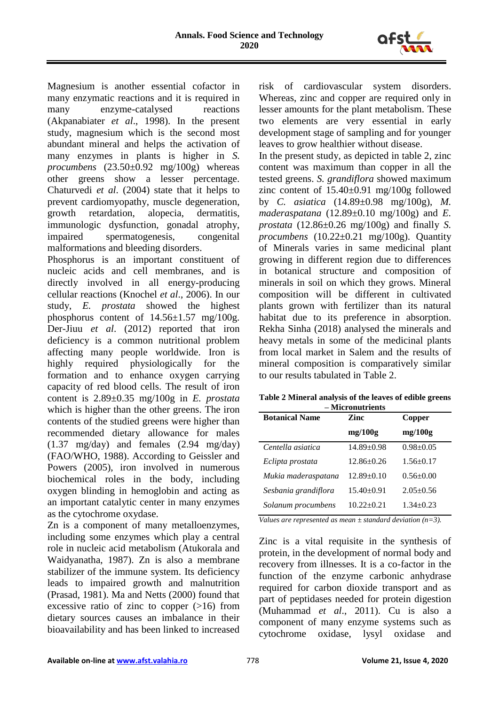

Magnesium is another essential cofactor in many enzymatic reactions and it is required in many enzyme-catalysed reactions (Akpanabiater *et al*., 1998). In the present study, magnesium which is the second most abundant mineral and helps the activation of many enzymes in plants is higher in *S. procumbens* (23.50±0.92 mg/100g) whereas other greens show a lesser percentage. Chaturvedi *et al*. (2004) state that it helps to prevent cardiomyopathy, muscle degeneration, growth retardation, alopecia, dermatitis, immunologic dysfunction, gonadal atrophy, impaired spermatogenesis, congenital malformations and bleeding disorders.

Phosphorus is an important constituent of nucleic acids and cell membranes, and is directly involved in all energy-producing cellular reactions (Knochel *et al*., 2006). In our study, *E. prostata* showed the highest phosphorus content of 14.56±1.57 mg/100g. Der-Jiuu *et al*. (2012) reported that iron deficiency is a common nutritional problem affecting many people worldwide. Iron is highly required physiologically for the formation and to enhance oxygen carrying capacity of red blood cells. The result of iron content is 2.89±0.35 mg/100g in *E. prostata* which is higher than the other greens. The iron contents of the studied greens were higher than recommended dietary allowance for males (1.37 mg/day) and females (2.94 mg/day) (FAO/WHO, 1988). According to Geissler and Powers (2005), iron involved in numerous biochemical roles in the body, including oxygen blinding in hemoglobin and acting as an important catalytic center in many enzymes as the cytochrome oxydase.

Zn is a component of many metalloenzymes, including some enzymes which play a central role in nucleic acid metabolism (Atukorala and Waidyanatha, 1987). Zn is also a membrane stabilizer of the immune system. Its deficiency leads to impaired growth and malnutrition (Prasad, 1981). Ma and Netts (2000) found that excessive ratio of zinc to copper  $(>16)$  from dietary sources causes an imbalance in their bioavailability and has been linked to increased risk of cardiovascular system disorders. Whereas, zinc and copper are required only in lesser amounts for the plant metabolism. These two elements are very essential in early development stage of sampling and for younger leaves to grow healthier without disease.

In the present study, as depicted in table 2, zinc content was maximum than copper in all the tested greens. *S. grandiflora* showed maximum zinc content of  $15.40\pm0.91$  mg/100g followed by *C. asiatica* (14.89±0.98 mg/100g), *M. maderaspatana* (12.89±0.10 mg/100g) and *E. prostata* (12.86±0.26 mg/100g) and finally *S. procumbens* (10.22±0.21 mg/100g). Quantity of Minerals varies in same medicinal plant growing in different region due to differences in botanical structure and composition of minerals in soil on which they grows. Mineral composition will be different in cultivated plants grown with fertilizer than its natural habitat due to its preference in absorption. Rekha Sinha (2018) analysed the minerals and heavy metals in some of the medicinal plants from local market in Salem and the results of mineral composition is comparatively similar to our results tabulated in Table 2.

| Table 2 Mineral analysis of the leaves of edible greens |  |  |  |  |  |
|---------------------------------------------------------|--|--|--|--|--|
| – Micronutrients                                        |  |  |  |  |  |

| <b>Botanical Name</b> | Zinc             | Copper          |  |
|-----------------------|------------------|-----------------|--|
|                       | mg/100g          | mg/100g         |  |
| Centella asiatica     | $14.89 \pm 0.98$ | $0.98 \pm 0.05$ |  |
| Eclipta prostata      | $12.86 \pm 0.26$ | $1.56 \pm 0.17$ |  |
| Mukia maderaspatana   | $12.89 \pm 0.10$ | $0.56 \pm 0.00$ |  |
| Sesbania grandiflora  | $15.40 \pm 0.91$ | $2.05 \pm 0.56$ |  |
| Solanum procumbens    | $10.22 \pm 0.21$ | $1.34 + 0.23$   |  |

*Values are represented as mean ± standard deviation (n=3).*

Zinc is a vital requisite in the synthesis of protein, in the development of normal body and recovery from illnesses. It is a co-factor in the function of the enzyme carbonic anhydrase required for carbon dioxide transport and as part of peptidases needed for protein digestion (Muhammad *et al*., 2011). Cu is also a component of many enzyme systems such as cytochrome oxidase, lysyl oxidase and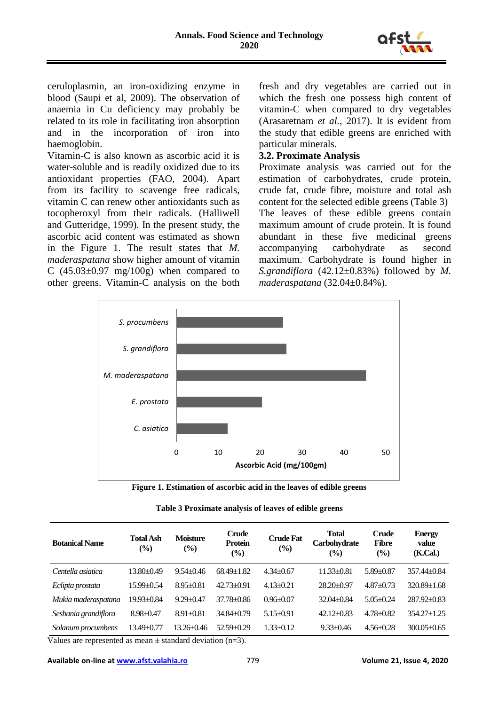

ceruloplasmin, an iron-oxidizing enzyme in blood (Saupi et al, 2009). The observation of anaemia in Cu deficiency may probably be related to its role in facilitating iron absorption and in the incorporation of iron into haemoglobin.

Vitamin-C is also known as ascorbic acid it is water-soluble and is readily oxidized due to its antioxidant properties (FAO, 2004). Apart from its facility to scavenge free radicals, vitamin C can renew other antioxidants such as tocopheroxyl from their radicals. (Halliwell and Gutteridge, 1999). In the present study, the ascorbic acid content was estimated as shown in the Figure 1. The result states that *M. maderaspatana* show higher amount of vitamin C  $(45.03\pm0.97 \text{ mg}/100g)$  when compared to other greens. Vitamin-C analysis on the both fresh and dry vegetables are carried out in which the fresh one possess high content of vitamin-C when compared to dry vegetables (Arasaretnam *et al.,* 2017). It is evident from the study that edible greens are enriched with particular minerals.

### **3.2. Proximate Analysis**

Proximate analysis was carried out for the estimation of carbohydrates, crude protein, crude fat, crude fibre, moisture and total ash content for the selected edible greens (Table 3) The leaves of these edible greens contain maximum amount of crude protein. It is found abundant in these five medicinal greens accompanying carbohydrate as second maximum. Carbohydrate is found higher in *S.grandiflora*  $(42.12 \pm 0.83\%)$  followed by *M*. *maderaspatana* (32.04±0.84%).



**Figure 1. Estimation of ascorbic acid in the leaves of edible greens**

| Table 3 Proximate analysis of leaves of edible greens |  |  |
|-------------------------------------------------------|--|--|
|                                                       |  |  |

| <b>Botanical Name</b> | <b>Total Ash</b><br>$\frac{9}{6}$ | <b>Moisture</b><br>$\frac{9}{6}$ | <b>Crude</b><br><b>Protein</b><br>$\frac{6}{2}$ | <b>Crude Fat</b><br>$\left(\frac{6}{6}\right)$ | <b>Total</b><br>Carbohydrate<br>$($ %) | <b>Crude</b><br><b>Fibre</b><br>$($ %) | <b>Energy</b><br>value<br>(K.Cal.) |
|-----------------------|-----------------------------------|----------------------------------|-------------------------------------------------|------------------------------------------------|----------------------------------------|----------------------------------------|------------------------------------|
| Centella asiatica     | $13.80+0.49$                      | $9.54 + 0.46$                    | $68.49 \pm 1.82$                                | $4.34 + 0.67$                                  | $11.33 \pm 0.81$                       | $5.89 + 0.87$                          | $357.44 + 0.84$                    |
| Eclipta prostata      | $15.99 \pm 0.54$                  | $8.95 \pm 0.81$                  | $42.73 \pm 0.91$                                | $4.13 \pm 0.21$                                | $28.20 \pm 0.97$                       | $4.87 + 0.73$                          | $320.89 \pm 1.68$                  |
| Mukia maderaspatana   | $19.93 \pm 0.84$                  | $9.29 \pm 0.47$                  | $37.78 \pm 0.86$                                | $0.96 + 0.07$                                  | $32.04 + 0.84$                         | $5.05 \pm 0.24$                        | $287.92 \pm 0.83$                  |
| Sesbania grandiflora  | $8.98 \pm 0.47$                   | $8.91 \pm 0.81$                  | $34.84 \pm 0.79$                                | $5.15 \pm 0.91$                                | $42.12 \pm 0.83$                       | $4.78 \pm 0.82$                        | $354.27 \pm 1.25$                  |
| Solanum procumbens    | $13.49 \pm 0.77$                  | 13.26±0.46                       | $52.59 + 0.29$                                  | $1.33 \pm 0.12$                                | $9.33 + 0.46$                          | $4.56 \pm 0.28$                        | $300.05 \pm 0.65$                  |

Values are represented as mean  $\pm$  standard deviation (n=3).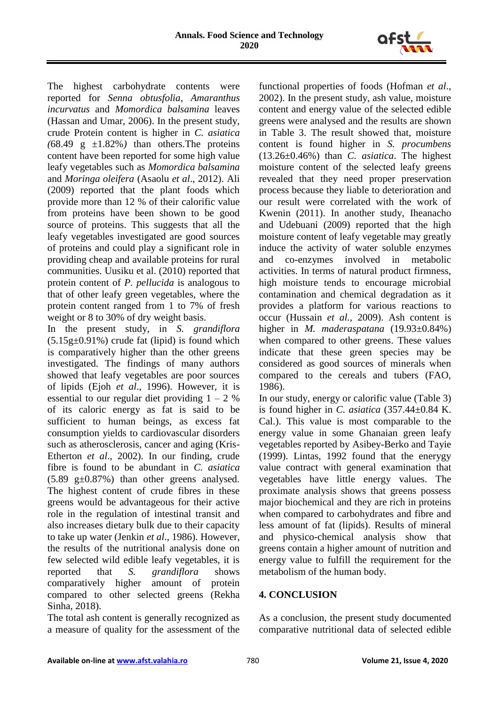

The highest carbohydrate contents were reported for *Senna obtusfolia*, *Amaranthus incurvatus* and *Momordica balsamina* leaves (Hassan and Umar, 2006). In the present study, crude Protein content is higher in *C. asiatica*   $(68.49 \text{ g } \pm 1.82\%)$  than others. The proteins content have been reported for some high value leafy vegetables such as *Momordica balsamina* and *Moringa oleifera* (Asaolu *et al*., 2012). Ali (2009) reported that the plant foods which provide more than 12 % of their calorific value from proteins have been shown to be good source of proteins. This suggests that all the leafy vegetables investigated are good sources of proteins and could play a significant role in providing cheap and available proteins for rural communities. Uusiku et al. (2010) reported that protein content of *P. pellucida* is analogous to that of other leafy green vegetables, where the protein content ranged from 1 to 7% of fresh weight or 8 to 30% of dry weight basis.

In the present study, in *S. grandiflora*   $(5.15g±0.91\%)$  crude fat (lipid) is found which is comparatively higher than the other greens investigated. The findings of many authors showed that leafy vegetables are poor sources of lipids (Ejoh *et al*., 1996). However, it is essential to our regular diet providing  $1 - 2$  % of its caloric energy as fat is said to be sufficient to human beings, as excess fat consumption yields to cardiovascular disorders such as atherosclerosis, cancer and aging (Kris-Etherton *et al*., 2002). In our finding, crude fibre is found to be abundant in *C. asiatica*   $(5.89 \text{ g} \pm 0.87\%)$  than other greens analysed. The highest content of crude fibres in these greens would be advantageous for their active role in the regulation of intestinal transit and also increases dietary bulk due to their capacity to take up water (Jenkin *et al*., 1986). However, the results of the nutritional analysis done on few selected wild edible leafy vegetables, it is reported that *S. grandiflora* shows comparatively higher amount of protein compared to other selected greens (Rekha Sinha, 2018).

The total ash content is generally recognized as a measure of quality for the assessment of the

functional properties of foods (Hofman *et al*., 2002). In the present study, ash value, moisture content and energy value of the selected edible greens were analysed and the results are shown in Table 3. The result showed that, moisture content is found higher in *S. procumbens*  (13.26±0.46%) than *C. asiatica*. The highest moisture content of the selected leafy greens revealed that they need proper preservation process because they liable to deterioration and our result were correlated with the work of Kwenin (2011). In another study, Iheanacho and Udebuani (2009) reported that the high moisture content of leafy vegetable may greatly induce the activity of water soluble enzymes and co-enzymes involved in metabolic activities. In terms of natural product firmness, high moisture tends to encourage microbial contamination and chemical degradation as it provides a platform for various reactions to occur (Hussain *et al.,* 2009). Ash content is higher in *M. maderaspatana* (19.93±0.84%) when compared to other greens. These values indicate that these green species may be considered as good sources of minerals when compared to the cereals and tubers (FAO, 1986).

In our study, energy or calorific value (Table 3) is found higher in *C. asiatica* (357.44±0.84 K. Cal.). This value is most comparable to the energy value in some Ghanaian green leafy vegetables reported by Asibey-Berko and Tayie (1999). Lintas, 1992 found that the enerygy value contract with general examination that vegetables have little energy values. The proximate analysis shows that greens possess major biochemical and they are rich in proteins when compared to carbohydrates and fibre and less amount of fat (lipids). Results of mineral and physico-chemical analysis show that greens contain a higher amount of nutrition and energy value to fulfill the requirement for the metabolism of the human body.

# **4. CONCLUSION**

As a conclusion, the present study documented comparative nutritional data of selected edible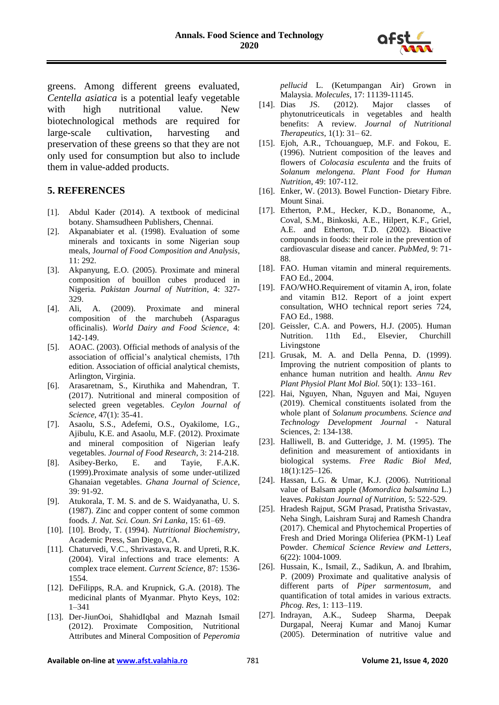

greens. Among different greens evaluated, *Centella asiatica* is a potential leafy vegetable with high nutritional value. New biotechnological methods are required for large-scale cultivation, harvesting and preservation of these greens so that they are not only used for consumption but also to include them in value-added products.

#### **5. REFERENCES**

- [1]. Abdul Kader (2014). A textbook of medicinal botany. Shamsudheen Publishers, Chennai.
- [2]. Akpanabiater et al. (1998). Evaluation of some minerals and toxicants in some Nigerian soup meals, J*ournal of Food Composition and Analysis*, 11: 292.
- [3]. Akpanyung, E.O. (2005). Proximate and mineral composition of bouillon cubes produced in Nigeria. *Pakistan Journal of Nutrition*, 4: 327- 329.<br>[4]. Ali,
- A. (2009). Proximate and mineral composition of the marchubeh (Asparagus officinalis). *World Dairy and Food Science*, 4: 142-149.
- [5]. AOAC. (2003). Official methods of analysis of the association of official's analytical chemists, 17th edition. Association of official analytical chemists, Arlington, Virginia.
- [6]. Arasaretnam, S., Kiruthika and Mahendran, T. (2017). Nutritional and mineral composition of selected green vegetables. *Ceylon Journal of Science*, 47(1): 35-41.
- [7]. Asaolu, S.S., Adefemi, O.S., Oyakilome, I.G., Ajibulu, K.E. and Asaolu, M.F. (2012). Proximate and mineral composition of Nigerian leafy vegetables. *Journal of Food Research*, 3: 214-218.
- [8]. Asibey-Berko, E. and Tayie, F.A.K. (1999).Proximate analysis of some under-utilized Ghanaian vegetables. *Ghana Journal of Science*, 39: 91-92.
- [9]. Atukorala, T. M. S. and de S. Waidyanatha, U. S. (1987). Zinc and copper content of some common foods. *J. Nat. Sci. Coun. Sri Lanka*, 15: 61–69.
- [10]. [10]. Brody, T. (1994). *Nutritional Biochemistry*, Academic Press, San Diego, CA.
- [11]. Chaturvedi, V.C., Shrivastava, R. and Upreti, R.K. (2004). Viral infections and trace elements: A complex trace element. *Current Science*, 87: 1536- 1554.
- [12]. DeFilipps, R.A. and Krupnick, G.A. (2018). The medicinal plants of Myanmar. Phyto Keys, 102: 1–341
- [13]. Der-JiunOoi, ShahidIqbal and Maznah Ismail (2012). Proximate Composition, Nutritional Attributes and Mineral Composition of *Peperomia*

*pellucid* L. (Ketumpangan Air) Grown in Malaysia. *Molecules*, 17: 11139-11145.

- [14]. Dias JS. (2012). Major classes of phytonutriceuticals in vegetables and health benefits: A review. *Journal of Nutritional Therapeutics*, 1(1): 31– 62.
- [15]. Ejoh, A.R., Tchouanguep, M.F. and Fokou, E. (1996). Nutrient composition of the leaves and flowers of *Colocasia esculenta* and the fruits of *Solanum melongena*. *Plant Food for Human Nutrition*, 49: 107-112.
- [16]. Enker, W. (2013). Bowel Function- Dietary Fibre. Mount Sinai.
- [17]. Etherton, P.M., Hecker, K.D., Bonanome, A., Coval, S.M., Binkoski, A.E., Hilpert, K.F., Griel, A.E. and Etherton, T.D. (2002). Bioactive compounds in foods: their role in the prevention of cardiovascular disease and cancer. *PubMed*, 9: 71- 88.
- [18]. FAO. Human vitamin and mineral requirements. FAO Ed., 2004.
- [19]. FAO/WHO.Requirement of vitamin A, iron, folate and vitamin B12. Report of a joint expert consultation, WHO technical report series 724, FAO Ed., 1988.
- [20]. Geissler, C.A. and Powers, H.J. (2005). Human Nutrition. 11th Ed., Elsevier, Churchill Livingstone
- [21]. Grusak, M. A. and Della Penna, D. (1999). Improving the nutrient composition of plants to enhance human nutrition and health. *Annu Rev Plant Physiol Plant Mol Biol.* 50(1): 133–161.
- [22]. Hai, Nguyen, Nhan, Nguyen and Mai, Nguyen (2019). Chemical constituents isolated from the whole plant of *Solanum procumbens. Science and Technology Development Journal* - Natural Sciences, 2: 134-138.
- [23]. Halliwell, B. and Gutteridge, J. M. (1995). The definition and measurement of antioxidants in biological systems. *Free Radic Biol Med*, 18(1):125–126.
- [24]. Hassan, L.G. & Umar, K.J. (2006). Nutritional value of Balsam apple (*Momordica balsamina* L.) leaves. *Pakistan Journal of Nutrition*, 5: 522-529.
- [25]. Hradesh Rajput, SGM Prasad, Pratistha Srivastav, Neha Singh, Laishram Suraj and Ramesh Chandra (2017). Chemical and Phytochemical Properties of Fresh and Dried Moringa Oliferiea (PKM-1) Leaf Powder. *Chemical Science Review and Letters*, 6(22): 1004-1009.
- [26]. Hussain, K., Ismail, Z., Sadikun, A. and Ibrahim, P. (2009) Proximate and qualitative analysis of different parts of *Piper sarmentosum*, and quantification of total amides in various extracts. *Phcog. Res*, 1: 113–119.
- [27]. Indrayan, A.K., Sudeep Sharma, Deepak Durgapal, Neeraj Kumar and Manoj Kumar (2005). Determination of nutritive value and